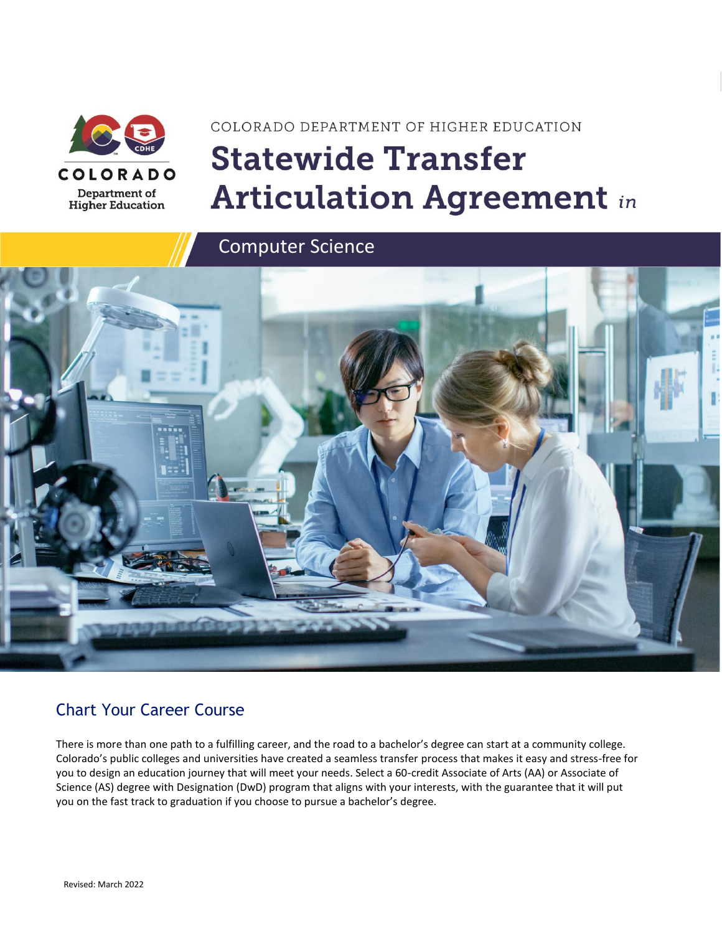

# COLORADO DEPARTMENT OF HIGHER EDUCATION **Statewide Transfer Articulation Agreement in**

Computer Science



### Chart Your Career Course

There is more than one path to a fulfilling career, and the road to a bachelor's degree can start at a community college. Colorado's public colleges and universities have created a seamless transfer process that makes it easy and stress-free for you to design an education journey that will meet your needs. Select a 60-credit Associate of Arts (AA) or Associate of Science (AS) degree with Designation (DwD) program that aligns with your interests, with the guarantee that it will put you on the fast track to graduation if you choose to pursue a bachelor's degree.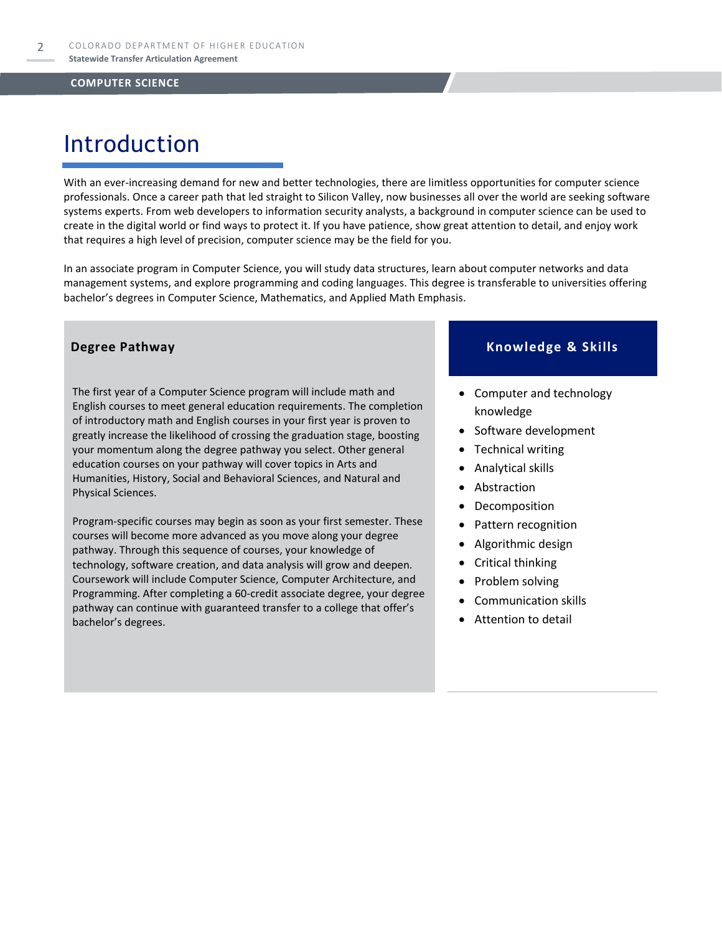# Introduction

With an ever-increasing demand for new and better technologies, there are limitless opportunities for computer science professionals. Once a career path that led straight to Silicon Valley, now businesses all over the world are seeking software systems experts. From web developers to information security analysts, a background in computer science can be used to create in the digital world or find ways to protect it. If you have patience, show great attention to detail, and enjoy work that requires a high level of precision, computer science may be the field for you.

In an associate program in Computer Science, you will study data structures, learn about computer networks and data management systems, and explore programming and coding languages. This degree is transferable to universities offering bachelor's degrees in Computer Science, Mathematics, and Applied Math Emphasis.

The first year of a Computer Science program will include math and English courses to meet general education requirements. The completion of introductory math and English courses in your first year is proven to greatly increase the likelihood of crossing the graduation stage, boosting your momentum along the degree pathway you select. Other general education courses on your pathway will cover topics in Arts and Humanities, History, Social and Behavioral Sciences, and Natural and Physical Sciences.

Program-specific courses may begin as soon as your first semester. These courses will become more advanced as you move along your degree pathway. Through this sequence of courses, your knowledge of technology, software creation, and data analysis will grow and deepen. Coursework will include Computer Science, Computer Architecture, and Programming. After completing a 60-credit associate degree, your degree pathway can continue with guaranteed transfer to a college that offer's bachelor's degrees.

### **Degree Pathway Knowledge & Skills**

- Computer and technology knowledge
- Software development
- Technical writing
- Analytical skills
- **Abstraction**
- Decomposition
- Pattern recognition
- Algorithmic design
- Critical thinking
- Problem solving
- Communication skills
- Attention to detail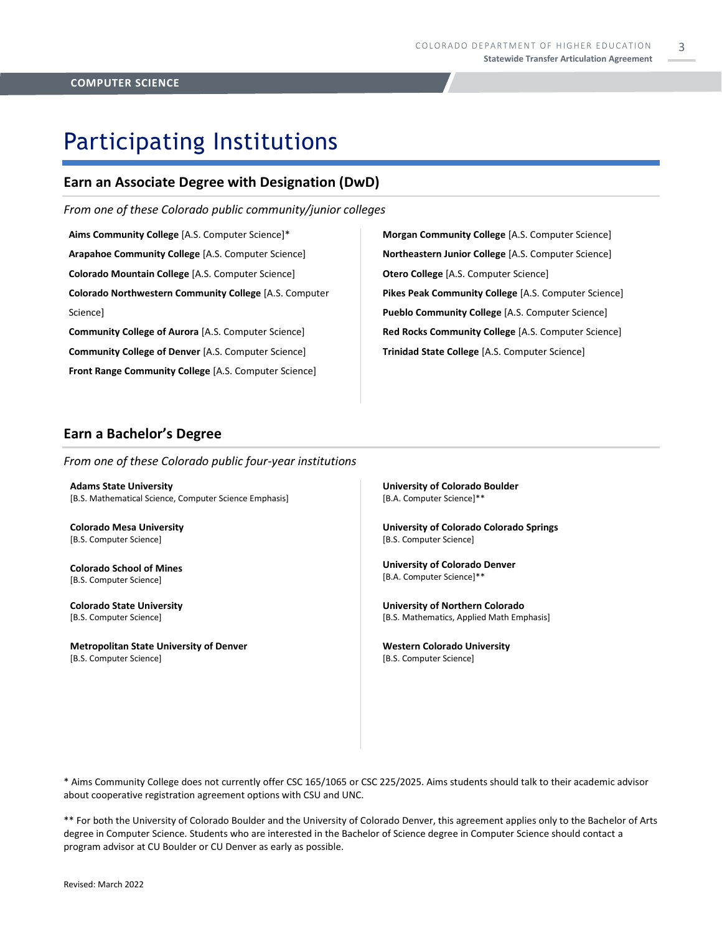3

## Participating Institutions

### **Earn an Associate Degree with Designation (DwD)**

*From one of these Colorado public community/junior colleges*

**Aims Community College** [A.S. Computer Science]\* **Arapahoe Community College** [A.S. Computer Science] **Colorado Mountain College** [A.S. Computer Science] **Colorado Northwestern Community College** [A.S. Computer Science]

**Community College of Aurora** [A.S. Computer Science] **Community College of Denver** [A.S. Computer Science] **Front Range Community College** [A.S. Computer Science] **Morgan Community College** [A.S. Computer Science] **Northeastern Junior College** [A.S. Computer Science] **Otero College** [A.S. Computer Science] **Pikes Peak Community College** [A.S. Computer Science] **Pueblo Community College** [A.S. Computer Science] **Red Rocks Community College** [A.S. Computer Science] **Trinidad State College** [A.S. Computer Science]

### **Earn a Bachelor's Degree**

*From one of these Colorado public four-year institutions*

**Adams State University**  [B.S. Mathematical Science, Computer Science Emphasis]

**Colorado Mesa University**  [B.S. Computer Science]

**Colorado School of Mines** [B.S. Computer Science]

**Colorado State University** [B.S. Computer Science]

**Metropolitan State University of Denver**  [B.S. Computer Science]

**University of Colorado Boulder**  [B.A. Computer Science]\*\*

**University of Colorado Colorado Springs** [B.S. Computer Science]

**University of Colorado Denver** [B.A. Computer Science]\*\*

**University of Northern Colorado** [B.S. Mathematics, Applied Math Emphasis]

**Western Colorado University** [B.S. Computer Science]

\* Aims Community College does not currently offer CSC 165/1065 or CSC 225/2025. Aims students should talk to their academic advisor about cooperative registration agreement options with CSU and UNC.

\*\* For both the University of Colorado Boulder and the University of Colorado Denver, this agreement applies only to the Bachelor of Arts degree in Computer Science. Students who are interested in the Bachelor of Science degree in Computer Science should contact a program advisor at CU Boulder or CU Denver as early as possible.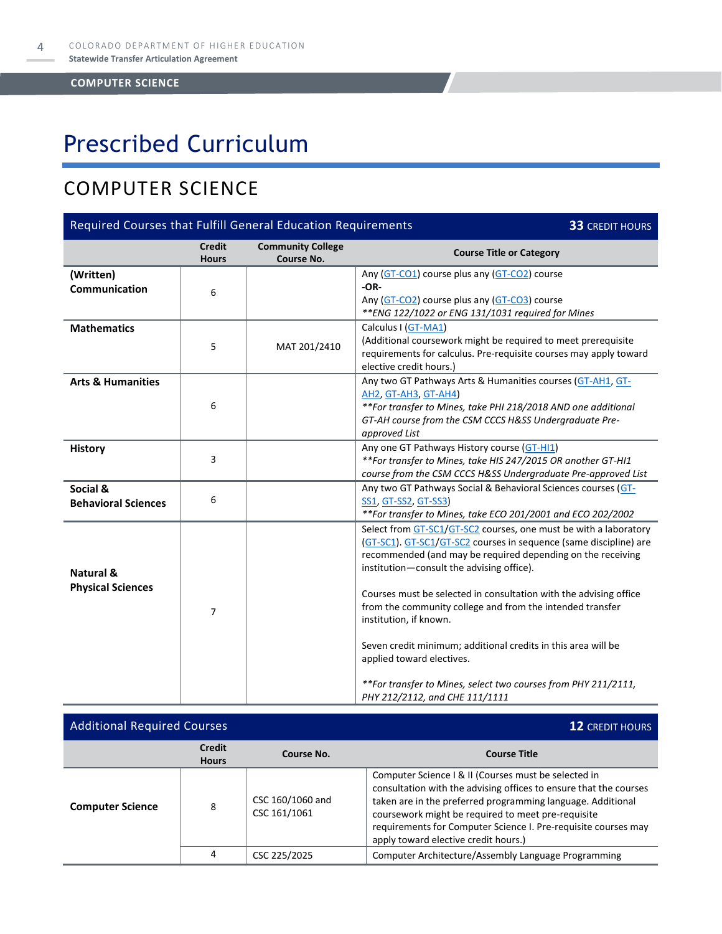# Prescribed Curriculum

### COMPUTER SCIENCE

| Required Courses that Fulfill General Education Requirements<br><b>33 CREDIT HOURS</b> |                                                                                                       |                                        |                                                                                                                                                                                                                                                                                                                                                                                                                                                                           |  |
|----------------------------------------------------------------------------------------|-------------------------------------------------------------------------------------------------------|----------------------------------------|---------------------------------------------------------------------------------------------------------------------------------------------------------------------------------------------------------------------------------------------------------------------------------------------------------------------------------------------------------------------------------------------------------------------------------------------------------------------------|--|
|                                                                                        | <b>Credit</b><br><b>Hours</b>                                                                         | <b>Community College</b><br>Course No. | <b>Course Title or Category</b>                                                                                                                                                                                                                                                                                                                                                                                                                                           |  |
| (Written)<br>Communication                                                             | 6                                                                                                     |                                        | Any (GT-CO1) course plus any (GT-CO2) course<br>$-OR-$<br>Any (GT-CO2) course plus any (GT-CO3) course<br>** ENG 122/1022 or ENG 131/1031 required for Mines                                                                                                                                                                                                                                                                                                              |  |
| <b>Mathematics</b>                                                                     | 5                                                                                                     | MAT 201/2410                           | Calculus I (GT-MA1)<br>(Additional coursework might be required to meet prerequisite<br>requirements for calculus. Pre-requisite courses may apply toward<br>elective credit hours.)                                                                                                                                                                                                                                                                                      |  |
| <b>Arts &amp; Humanities</b>                                                           | 6                                                                                                     |                                        | Any two GT Pathways Arts & Humanities courses (GT-AH1, GT-<br><b>AH2, GT-AH3, GT-AH4)</b><br>**For transfer to Mines, take PHI 218/2018 AND one additional<br>GT-AH course from the CSM CCCS H&SS Undergraduate Pre-<br>approved List                                                                                                                                                                                                                                     |  |
| <b>History</b>                                                                         | 3                                                                                                     |                                        | Any one GT Pathways History course (GT-HI1)<br>**For transfer to Mines, take HIS 247/2015 OR another GT-HI1<br>course from the CSM CCCS H&SS Undergraduate Pre-approved List                                                                                                                                                                                                                                                                                              |  |
| Social &<br><b>Behavioral Sciences</b>                                                 | 6                                                                                                     |                                        | Any two GT Pathways Social & Behavioral Sciences courses (GT-<br>SS1, GT-SS2, GT-SS3)<br>**For transfer to Mines, take ECO 201/2001 and ECO 202/2002                                                                                                                                                                                                                                                                                                                      |  |
| Natural &<br><b>Physical Sciences</b>                                                  | institution-consult the advising office).<br>7<br>institution, if known.<br>applied toward electives. |                                        | Select from GT-SC1/GT-SC2 courses, one must be with a laboratory<br>(GT-SC1). GT-SC1/GT-SC2 courses in sequence (same discipline) are<br>recommended (and may be required depending on the receiving<br>Courses must be selected in consultation with the advising office<br>from the community college and from the intended transfer<br>Seven credit minimum; additional credits in this area will be<br>**For transfer to Mines, select two courses from PHY 211/2111, |  |
|                                                                                        |                                                                                                       |                                        | PHY 212/2112, and CHE 111/1111                                                                                                                                                                                                                                                                                                                                                                                                                                            |  |

| <b>Additional Required Courses</b> |                               |                                  | <b>12 CREDIT HOURS</b>                                                                                                                                                                                                                                                                                                                                   |  |
|------------------------------------|-------------------------------|----------------------------------|----------------------------------------------------------------------------------------------------------------------------------------------------------------------------------------------------------------------------------------------------------------------------------------------------------------------------------------------------------|--|
|                                    | <b>Credit</b><br><b>Hours</b> | Course No.                       | <b>Course Title</b>                                                                                                                                                                                                                                                                                                                                      |  |
| <b>Computer Science</b>            | 8                             | CSC 160/1060 and<br>CSC 161/1061 | Computer Science I & II (Courses must be selected in<br>consultation with the advising offices to ensure that the courses<br>taken are in the preferred programming language. Additional<br>coursework might be required to meet pre-requisite<br>requirements for Computer Science I. Pre-requisite courses may<br>apply toward elective credit hours.) |  |
|                                    | 4                             | CSC 225/2025                     | Computer Architecture/Assembly Language Programming                                                                                                                                                                                                                                                                                                      |  |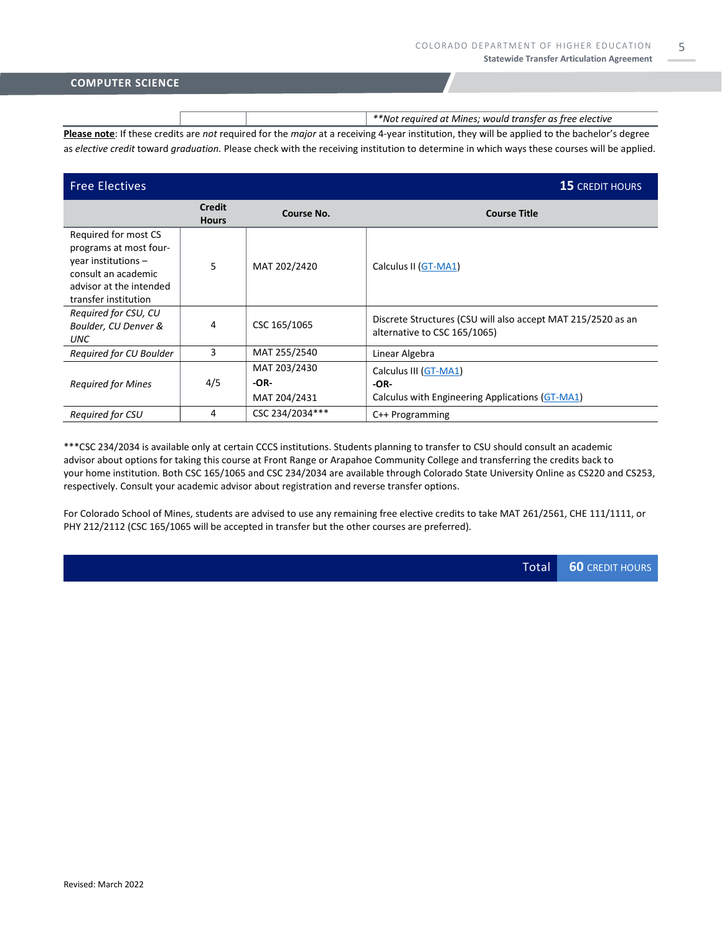|                                                                                                                                               |  | **Not required at Mines; would transfer as free elective                                                                                    |  |  |
|-----------------------------------------------------------------------------------------------------------------------------------------------|--|---------------------------------------------------------------------------------------------------------------------------------------------|--|--|
| Please note: If these credits are not required for the major at a receiving 4-year institution, they will be applied to the bachelor's degree |  |                                                                                                                                             |  |  |
|                                                                                                                                               |  | as elective credit toward graduation. Please check with the receiving institution to determine in which ways these courses will be applied. |  |  |

| <b>Free Electives</b>                                                                                                                             |                               |                                        | <b>15 CREDIT HOURS</b>                                                                       |  |
|---------------------------------------------------------------------------------------------------------------------------------------------------|-------------------------------|----------------------------------------|----------------------------------------------------------------------------------------------|--|
|                                                                                                                                                   | <b>Credit</b><br><b>Hours</b> | Course No.                             | <b>Course Title</b>                                                                          |  |
| Required for most CS<br>programs at most four-<br>year institutions $-$<br>consult an academic<br>advisor at the intended<br>transfer institution | 5                             | MAT 202/2420                           | Calculus II (GT-MA1)                                                                         |  |
| Required for CSU, CU<br>Boulder, CU Denver &<br><b>UNC</b>                                                                                        | 4                             | CSC 165/1065                           | Discrete Structures (CSU will also accept MAT 215/2520 as an<br>alternative to CSC 165/1065) |  |
| Required for CU Boulder                                                                                                                           | 3                             | MAT 255/2540                           | Linear Algebra                                                                               |  |
| <b>Required for Mines</b>                                                                                                                         | 4/5                           | MAT 203/2430<br>$-OR-$<br>MAT 204/2431 | Calculus III (GT-MA1)<br>$-OR-$<br>Calculus with Engineering Applications (GT-MA1)           |  |
| <b>Required for CSU</b>                                                                                                                           | 4                             | CSC 234/2034***                        | $C++$ Programming                                                                            |  |

\*\*\*CSC 234/2034 is available only at certain CCCS institutions. Students planning to transfer to CSU should consult an academic advisor about options for taking this course at Front Range or Arapahoe Community College and transferring the credits back to your home institution. Both CSC 165/1065 and CSC 234/2034 are available through Colorado State University Online as CS220 and CS253, respectively. Consult your academic advisor about registration and reverse transfer options.

For Colorado School of Mines, students are advised to use any remaining free elective credits to take MAT 261/2561, CHE 111/1111, or PHY 212/2112 (CSC 165/1065 will be accepted in transfer but the other courses are preferred).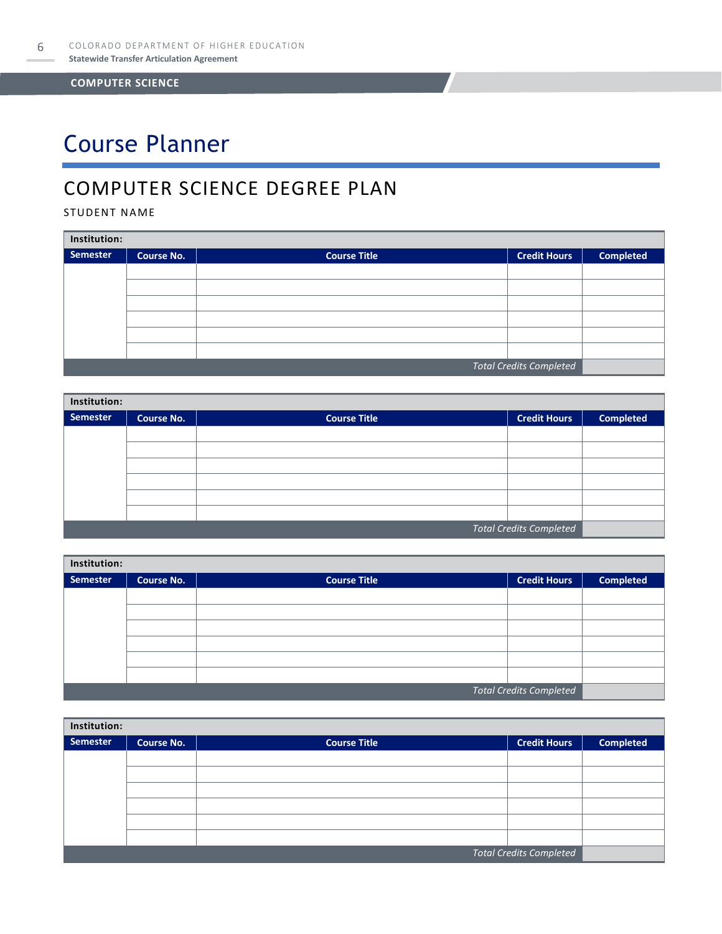# Course Planner

### COMPUTER SCIENCE DEGREE PLAN

### STUDENT NAME

| Institution:                   |                   |                     |                     |                  |  |  |
|--------------------------------|-------------------|---------------------|---------------------|------------------|--|--|
| <b>Semester</b>                | <b>Course No.</b> | <b>Course Title</b> | <b>Credit Hours</b> | <b>Completed</b> |  |  |
|                                |                   |                     |                     |                  |  |  |
|                                |                   |                     |                     |                  |  |  |
|                                |                   |                     |                     |                  |  |  |
|                                |                   |                     |                     |                  |  |  |
|                                |                   |                     |                     |                  |  |  |
|                                |                   |                     |                     |                  |  |  |
| <b>Total Credits Completed</b> |                   |                     |                     |                  |  |  |

| Institution:                   |                   |                     |                     |                  |  |  |
|--------------------------------|-------------------|---------------------|---------------------|------------------|--|--|
| Semester                       | <b>Course No.</b> | <b>Course Title</b> | <b>Credit Hours</b> | <b>Completed</b> |  |  |
|                                |                   |                     |                     |                  |  |  |
|                                |                   |                     |                     |                  |  |  |
|                                |                   |                     |                     |                  |  |  |
|                                |                   |                     |                     |                  |  |  |
|                                |                   |                     |                     |                  |  |  |
|                                |                   |                     |                     |                  |  |  |
| <b>Total Credits Completed</b> |                   |                     |                     |                  |  |  |

| Institution: |                   |                     |                                |                  |  |  |
|--------------|-------------------|---------------------|--------------------------------|------------------|--|--|
| Semester     | <b>Course No.</b> | <b>Course Title</b> | <b>Credit Hours</b>            | <b>Completed</b> |  |  |
|              |                   |                     |                                |                  |  |  |
|              |                   |                     |                                |                  |  |  |
|              |                   |                     |                                |                  |  |  |
|              |                   |                     |                                |                  |  |  |
|              |                   |                     |                                |                  |  |  |
|              |                   |                     |                                |                  |  |  |
|              |                   |                     | <b>Total Credits Completed</b> |                  |  |  |

| Institution:    |                         |                     |                     |                  |  |  |
|-----------------|-------------------------|---------------------|---------------------|------------------|--|--|
| <b>Semester</b> | <b>Course No.</b>       | <b>Course Title</b> | <b>Credit Hours</b> | <b>Completed</b> |  |  |
|                 |                         |                     |                     |                  |  |  |
|                 |                         |                     |                     |                  |  |  |
|                 |                         |                     |                     |                  |  |  |
|                 |                         |                     |                     |                  |  |  |
|                 |                         |                     |                     |                  |  |  |
|                 |                         |                     |                     |                  |  |  |
|                 | Total Credits Completed |                     |                     |                  |  |  |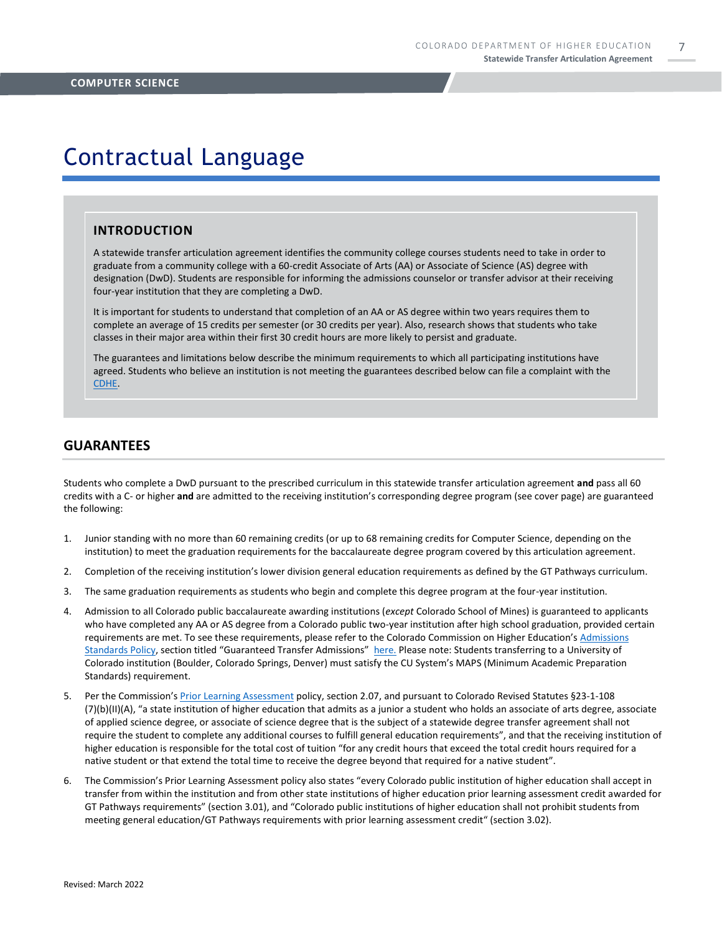7

### Contractual Language

#### **INTRODUCTION**

A statewide transfer articulation agreement identifies the community college courses students need to take in order to graduate from a community college with a 60-credit Associate of Arts (AA) or Associate of Science (AS) degree with designation (DwD). Students are responsible for informing the admissions counselor or transfer advisor at their receiving four-year institution that they are completing a DwD.

It is important for students to understand that completion of an AA or AS degree within two years requires them to complete an average of 15 credits per semester (or 30 credits per year). Also, research shows that students who take classes in their major area within their first 30 credit hours are more likely to persist and graduate.

The guarantees and limitations below describe the minimum requirements to which all participating institutions have agreed. Students who believe an institution is not meeting the guarantees described below can file a complaint with the [CDHE.](https://highered.colorado.gov/filing-student-complaint)

#### **GUARANTEES**

Students who complete a DwD pursuant to the prescribed curriculum in this statewide transfer articulation agreement **and** pass all 60 credits with a C- or higher **and** are admitted to the receiving institution's corresponding degree program (see cover page) are guaranteed the following:

- 1. Junior standing with no more than 60 remaining credits (or up to 68 remaining credits for Computer Science, depending on the institution) to meet the graduation requirements for the baccalaureate degree program covered by this articulation agreement.
- 2. Completion of the receiving institution's lower division general education requirements as defined by the GT Pathways curriculum.
- 3. The same graduation requirements as students who begin and complete this degree program at the four-year institution.
- 4. Admission to all Colorado public baccalaureate awarding institutions (*except* Colorado School of Mines) is guaranteed to applicants who have completed any AA or AS degree from a Colorado public two-year institution after high school graduation, provided certain requirements are met. To see these requirements, please refer to the Colorado Commission on Higher Education's [Admissions](https://highered.colorado.gov/sites/highered/files/2020-03/i-partf_0.pdf)  [Standards Policy](https://highered.colorado.gov/sites/highered/files/2020-03/i-partf_0.pdf), section titled "Guaranteed Transfer Admissions" [here.](https://highered.colorado.gov/educators/policy-funding/cche-policies-procedures) Please note: Students transferring to a University of Colorado institution (Boulder, Colorado Springs, Denver) must satisfy the CU System's MAPS (Minimum Academic Preparation Standards) requirement.
- 5. Per the Commission's [Prior Learning Assessment](https://highered.colorado.gov/sites/highered/files/2020-03/i-partx.pdf) policy, section 2.07, and pursuant to Colorado Revised Statutes §23-1-108 (7)(b)(II)(A), "a state institution of higher education that admits as a junior a student who holds an associate of arts degree, associate of applied science degree, or associate of science degree that is the subject of a statewide degree transfer agreement shall not require the student to complete any additional courses to fulfill general education requirements", and that the receiving institution of higher education is responsible for the total cost of tuition "for any credit hours that exceed the total credit hours required for a native student or that extend the total time to receive the degree beyond that required for a native student".
- 6. The Commission's Prior Learning Assessment policy also states "every Colorado public institution of higher education shall accept in transfer from within the institution and from other state institutions of higher education prior learning assessment credit awarded for GT Pathways requirements" (section 3.01), and "Colorado public institutions of higher education shall not prohibit students from meeting general education/GT Pathways requirements with prior learning assessment credit" (section 3.02).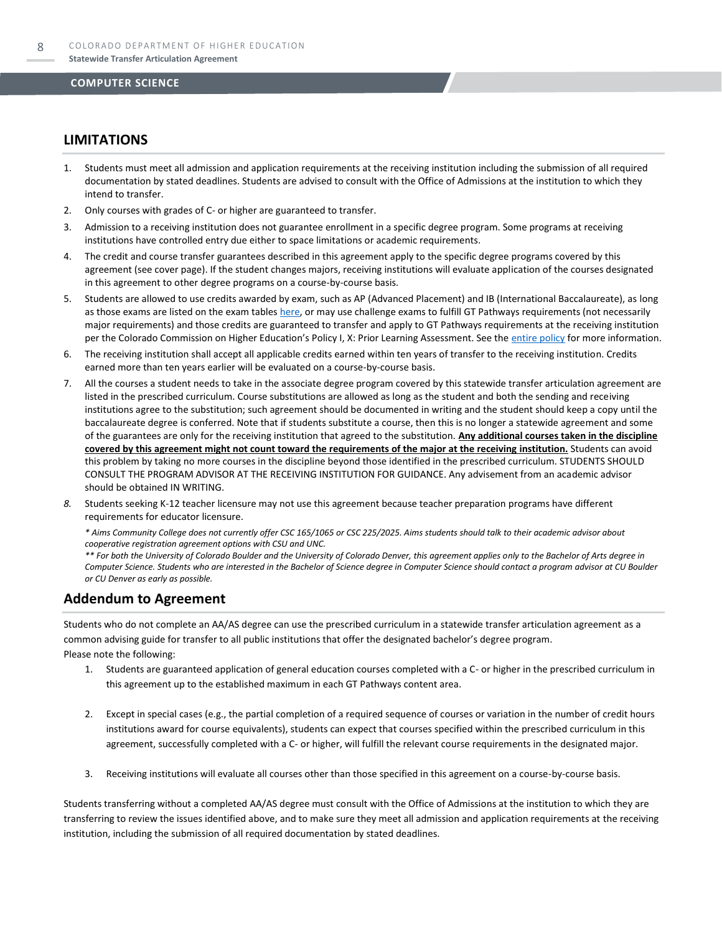### **LIMITATIONS**

- 1. Students must meet all admission and application requirements at the receiving institution including the submission of all required documentation by stated deadlines. Students are advised to consult with the Office of Admissions at the institution to which they intend to transfer.
- 2. Only courses with grades of C- or higher are guaranteed to transfer.
- 3. Admission to a receiving institution does not guarantee enrollment in a specific degree program. Some programs at receiving institutions have controlled entry due either to space limitations or academic requirements.
- 4. The credit and course transfer guarantees described in this agreement apply to the specific degree programs covered by this agreement (see cover page). If the student changes majors, receiving institutions will evaluate application of the courses designated in this agreement to other degree programs on a course-by-course basis.
- 5. Students are allowed to use credits awarded by exam, such as AP (Advanced Placement) and IB (International Baccalaureate), as long as those exams are listed on the exam table[s here,](https://highered.colorado.gov/get-credit-for-what-you-already-know) or may use challenge exams to fulfill GT Pathways requirements (not necessarily major requirements) and those credits are guaranteed to transfer and apply to GT Pathways requirements at the receiving institution per the Colorado Commission on Higher Education's Policy I, X: Prior Learning Assessment. See the [entire policy](https://highered.colorado.gov/sites/highered/files/2020-03/i-partx.pdf) for more information.
- 6. The receiving institution shall accept all applicable credits earned within ten years of transfer to the receiving institution. Credits earned more than ten years earlier will be evaluated on a course-by-course basis.
- 7. All the courses a student needs to take in the associate degree program covered by this statewide transfer articulation agreement are listed in the prescribed curriculum. Course substitutions are allowed as long as the student and both the sending and receiving institutions agree to the substitution; such agreement should be documented in writing and the student should keep a copy until the baccalaureate degree is conferred. Note that if students substitute a course, then this is no longer a statewide agreement and some of the guarantees are only for the receiving institution that agreed to the substitution. **Any additional courses taken in the discipline covered by this agreement might not count toward the requirements of the major at the receiving institution.** Students can avoid this problem by taking no more courses in the discipline beyond those identified in the prescribed curriculum. STUDENTS SHOULD CONSULT THE PROGRAM ADVISOR AT THE RECEIVING INSTITUTION FOR GUIDANCE. Any advisement from an academic advisor should be obtained IN WRITING.
- *8.* Students seeking K-12 teacher licensure may not use this agreement because teacher preparation programs have different requirements for educator licensure.

*\* Aims Community College does not currently offer CSC 165/1065 or CSC 225/2025. Aims students should talk to their academic advisor about cooperative registration agreement options with CSU and UNC.* 

*\*\* For both the University of Colorado Boulder and the University of Colorado Denver, this agreement applies only to the Bachelor of Arts degree in Computer Science. Students who are interested in the Bachelor of Science degree in Computer Science should contact a program advisor at CU Boulder or CU Denver as early as possible.*

### **Addendum to Agreement**

Students who do not complete an AA/AS degree can use the prescribed curriculum in a statewide transfer articulation agreement as a common advising guide for transfer to all public institutions that offer the designated bachelor's degree program. Please note the following:

- 1. Students are guaranteed application of general education courses completed with a C- or higher in the prescribed curriculum in this agreement up to the established maximum in each GT Pathways content area.
- 2. Except in special cases (e.g., the partial completion of a required sequence of courses or variation in the number of credit hours institutions award for course equivalents), students can expect that courses specified within the prescribed curriculum in this agreement, successfully completed with a C- or higher, will fulfill the relevant course requirements in the designated major.
- 3. Receiving institutions will evaluate all courses other than those specified in this agreement on a course-by-course basis.

Students transferring without a completed AA/AS degree must consult with the Office of Admissions at the institution to which they are transferring to review the issues identified above, and to make sure they meet all admission and application requirements at the receiving institution, including the submission of all required documentation by stated deadlines.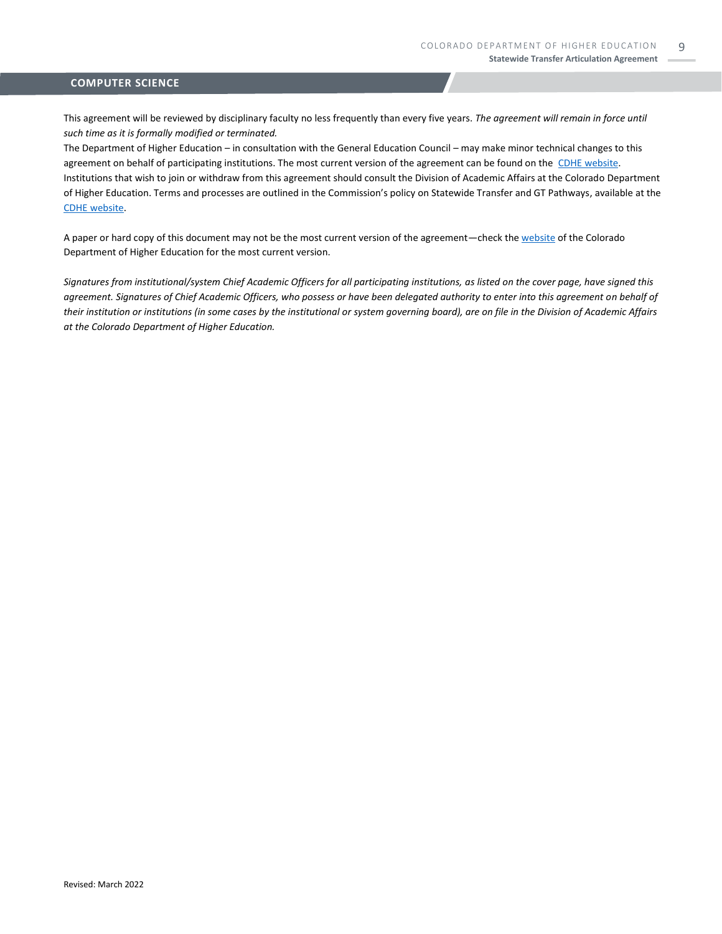This agreement will be reviewed by disciplinary faculty no less frequently than every five years. *The agreement will remain in force until such time as it is formally modified or terminated.* 

The Department of Higher Education – in consultation with the General Education Council – may make minor technical changes to this agreement on behalf of participating institutions. The most current version of the agreement can be found on the [CDHE website.](https://highered.colorado.gov/transfer-degrees) Institutions that wish to join or withdraw from this agreement should consult the Division of Academic Affairs at the Colorado Department of Higher Education. Terms and processes are outlined in the Commission's policy on Statewide Transfer and GT Pathways, available at the [CDHE website.](https://highered.colorado.gov/educators/policy-funding/general-education-ge-council/gtpathways/transfer-agreements)

A paper or hard copy of this document may not be the most current version of the agreement—check th[e website](https://highered.colorado.gov/transfer-degrees) of the Colorado Department of Higher Education for the most current version.

*Signatures from institutional/system Chief Academic Officers for all participating institutions, as listed on the cover page, have signed this agreement. Signatures of Chief Academic Officers, who possess or have been delegated authority to enter into this agreement on behalf of their institution or institutions (in some cases by the institutional or system governing board), are on file in the Division of Academic Affairs at the Colorado Department of Higher Education.*